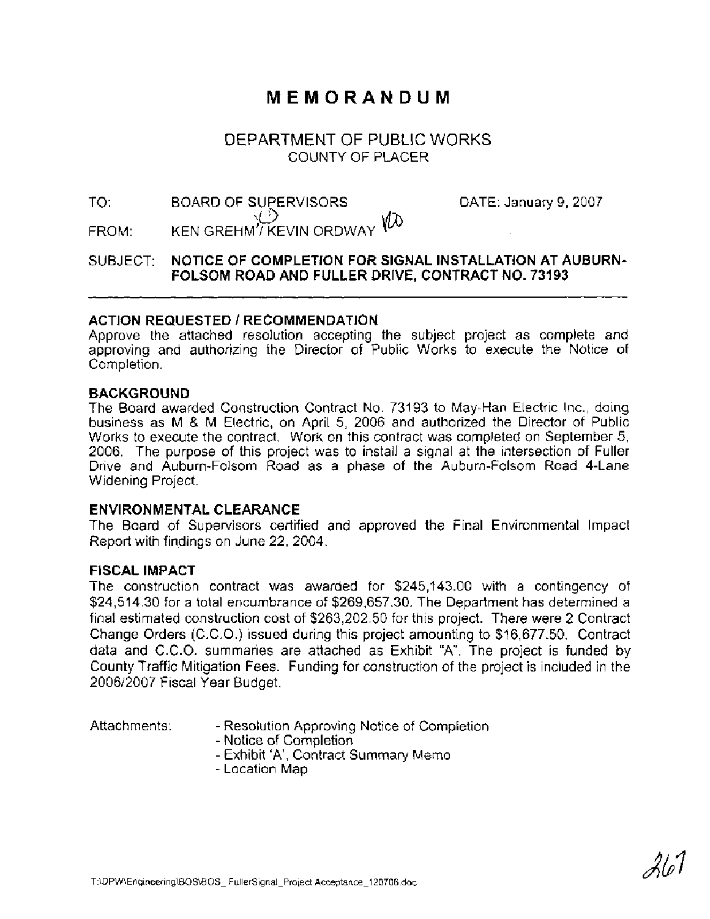# **MEMORANDUM**

# DEPARTMENT OF PUBLIC WORKS COUNTY OF PLACER

# TO: BOARD OF SUPERVISORS DATE: January 9, 2007 FROM: KEN GREHM'/ KEVIN ORDWAY  ${\mathcal W}$

# SUBJECT: **NOTICE OF COMPLETION FOR SIGNAL INSTALLATION AT AUBURN-FOLSOM ROAD AND FULLER DRIVE, CONTRACT NO. 73193**

# **ACTION REQUESTED** I **RECOMMENDATION**

Approve the attached resolution accepting the subject project as complete and approving and authorizing the Director of Public Works to execute the Notice of Completion.

### **BACKGROUND**

The Board awarded Construction Contract No. 73193 to May-Han Electric Inc., doing business as M & M Electric, on April 5, 2006 and authorized the Director of Public Works to execute the contract. Work on this contract was completed on September 5, 2006. The purpose of this project was to install a signal at the intersection of Fuller Drive and Auburn-Folsom Road as a phase of the Auburn-Folsom Road 4-Lane Widening Project.

# **ENVIRONMENTAL CLEARANCE**

The Board of Supervisors certified and approved the Final Environmental Impact Report with findings on June 22, 2004.

# **FISCAL IMPACT**

The construction contract was awarded for \$245,143.00 with a contingency of \$24,514.30 for a total encumbrance of \$269,657.30. The Department has determined a final estimated construction cost of \$263,202.50 for this project. There were 2 Contract Change Orders (C.C.O.) issued during this project amounting to \$16,677.50. Contract data and C.C.O. summaries are attached as Exhibit "A". The project is funded by County Traffic Mitigation Fees. Funding for construction of the project is included in the 200612007 Fiscal Year Budget.

- Attachments: Resolution Approving Notice of Completion
	- Notice of Completion
	- Exhibit 'A', Contract Summary Memo
	- Location Map

21.,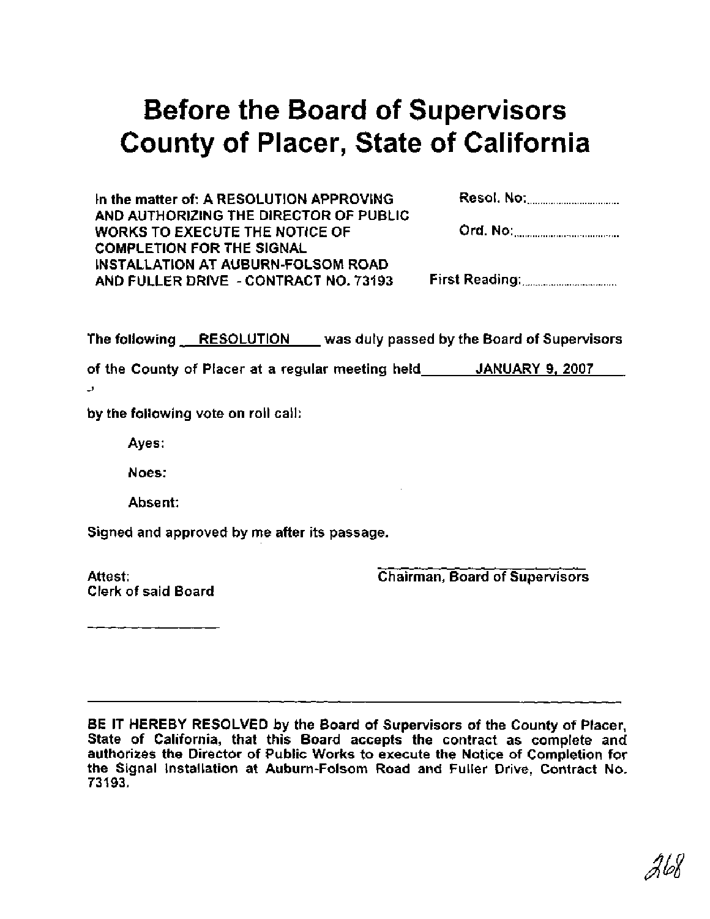# Before the Board of Supervisors County of Placer, State of California

In the matter of: A RESOLUTION APPROVING AND AUTHORIZING THE DIRECTOR OF PUBLIC WORKS TO EXECUTE THE NOTICE OF COMPLETION FOR THE SIGNAL INSTALLATION AT AUBURN-FOLSOM ROAD AND FULLER DRIVE - CONTRACT NO. 73193 First Reading: ............................

The following RESOLUTION was duly passed by the Board of Supervisors

of the County of Placer at a regular meeting held JANUARY 9, 2007 **-9** 

by the following vote on roll call:

Ayes:

Noes:

Absent:

Signed and approved by me after its passage.

Attest: Clerk of said Board Chairman, Board of Supervisors

BE IT HEREBY RESOLVED by the Board of Supervisors of the County of Placer, State of California, that this Board accepts the contract as complete and authorizes the Director of Public Works to execute the Notice of Completion for the Signal Installation at Auburn-Folsom Road and Fuller Drive, Contract No. 73193.

26X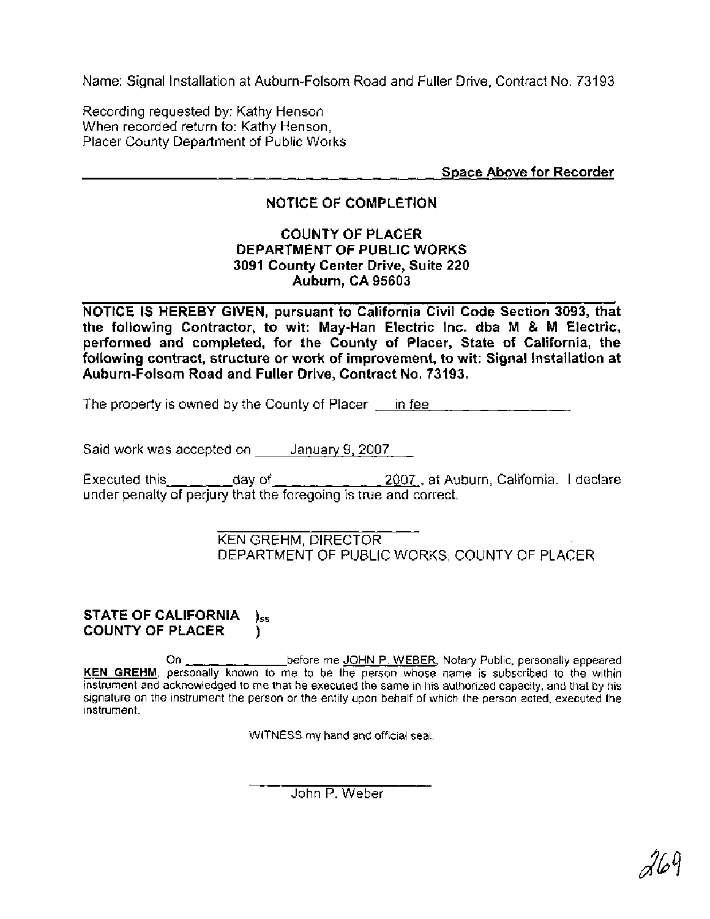Name: Signal Installation at Auburn-Folsom Road and Fuller Drive, Contract No. 73193

Recording requested by: Kathy Henson When recorded return to: Kathy Henson, Placer County Department of Public Works

Space Above for Recorder

# NOTICE OF COMPLETION

### COUNTY OF PLACER DEPARTMENT OF PUBLIC WORKS 3091 County Center Drive, Suite 220 Auburn, CA 95603

NOTICE IS HEREBY GIVEN, pursuant to California Civil Code Section 3093, that the following Contractor, to wit: May-Han Electric Inc. dba **M** & **M** Electric, performed and completed, for the County of Placer, State of California, the following contract, structure or work of improvement, to wit: Signal Installation at Auburn-Folsom Road and Fuller Drive, Contract No. 73193.

The property is owned by the County of Placer in fee

Said work was accepted on January 9, 2007

Executed this  $\_\_\_\_\_$  day of  $\_\_\_\_\_\_$   $\_\_\_\_$  2007, at Auburn, California. I declare under penalty of perjury that the foregoing is true and correct.

> KEN GREHM, DIRECTOR DEPARTMENT OF PUBLIC WORKS, COUNTY OF PLACER

#### STATE OF CALIFORNIA **)ss**  COUNTY OF PLACER )

On  $\mu$ <sub>n</sub>  $\mu$  before me JOHN P. WEBER, Notary Public, personally appeared **KEN GREHM,** personally known to me to be the person whose name is subscribed to the within instrument and acknowledged to me that he executed the same in his authorized capacity, and that by his signature on the instrument the person or the entity upon behalf of which the person acted, executed the instrument.

WITNESS my hand and official seal.

John P. Weber

269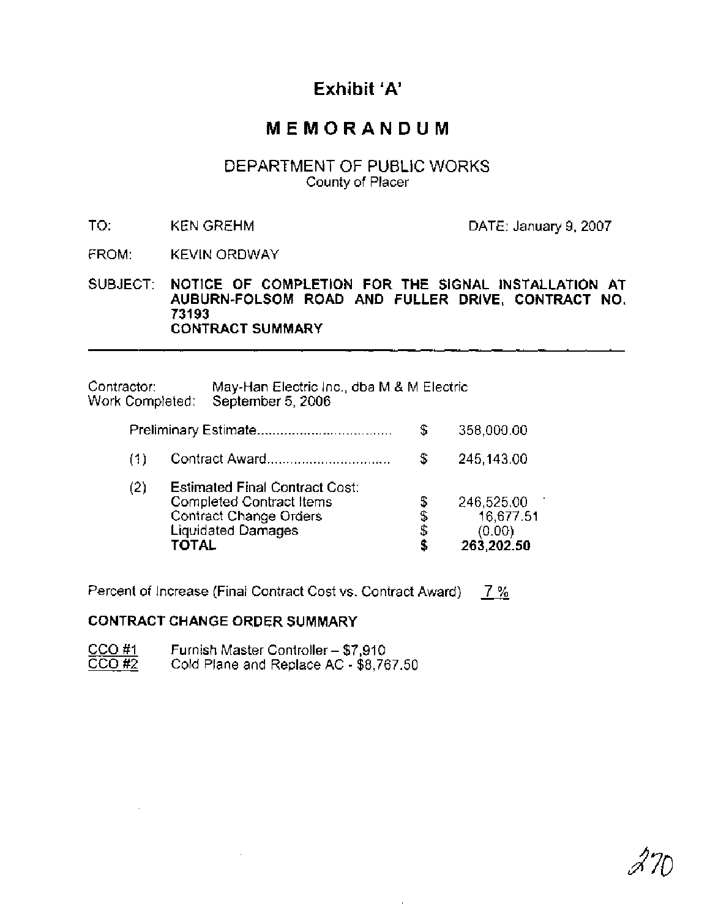# **Exhibit 'A'**

# **MEMORANDUM**

# DEPARTMENT OF PUBLIC WORKS County of Placer

TO: KEN GREHM DATE: January 9, 2007

FROM: KEVIN ORDWAY

SUBJECT: **NOTICE OF COMPLETION FOR THE SIGNAL INSTALLATION AT AUBURN-FOLSOM ROAD AND FULLER DRIVE, CONTRACT NO. 731 93 CONTRACT SUMMARY** 

| Contractor:<br>Work Completed: |                                                                                                                                          | May-Han Electric Inc., dba M & M Electric<br>September 5, 2006 |    |                                                 |
|--------------------------------|------------------------------------------------------------------------------------------------------------------------------------------|----------------------------------------------------------------|----|-------------------------------------------------|
|                                |                                                                                                                                          |                                                                | \$ | 358,000.00                                      |
| (1)                            |                                                                                                                                          | Contract Award                                                 | S  | 245,143.00                                      |
| (2)                            | <b>Estimated Final Contract Cost:</b><br>Completed Contract Items<br><b>Contract Change Orders</b><br><b>Liquidated Damages</b><br>TOTAL |                                                                |    | 246,525.00<br>16,677.51<br>(0.00)<br>263,202.50 |

Percent of Increase (Final Contract Cost vs. Contract Award) 7 %

### **CONTRACT CHANGE ORDER SUMMARY**

| CCO#1 | Furnish Master Controller - \$7,910    |
|-------|----------------------------------------|
| CCO#2 | Cold Plane and Replace AC - \$8,767.50 |